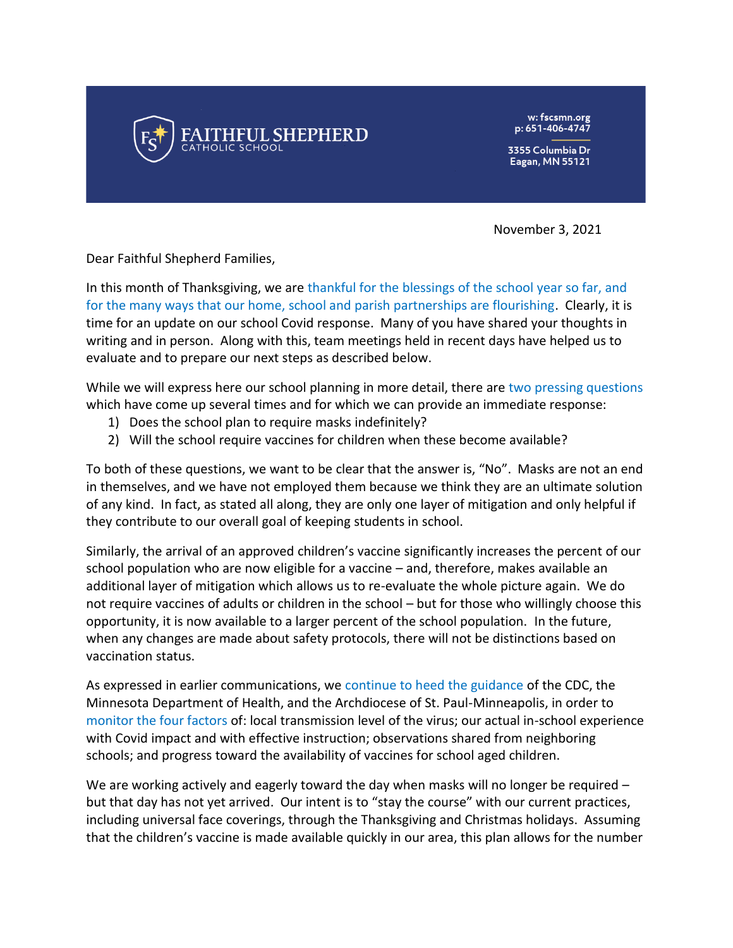

w: fscsmn.org p: 651-406-4747

3355 Columbia Dr **Eagan, MN 55121** 

November 3, 2021

Dear Faithful Shepherd Families,

In this month of Thanksgiving, we are thankful for the blessings of the school year so far, and for the many ways that our home, school and parish partnerships are flourishing. Clearly, it is time for an update on our school Covid response. Many of you have shared your thoughts in writing and in person. Along with this, team meetings held in recent days have helped us to evaluate and to prepare our next steps as described below.

While we will express here our school planning in more detail, there are two pressing questions which have come up several times and for which we can provide an immediate response:

- 1) Does the school plan to require masks indefinitely?
- 2) Will the school require vaccines for children when these become available?

To both of these questions, we want to be clear that the answer is, "No". Masks are not an end in themselves, and we have not employed them because we think they are an ultimate solution of any kind. In fact, as stated all along, they are only one layer of mitigation and only helpful if they contribute to our overall goal of keeping students in school.

Similarly, the arrival of an approved children's vaccine significantly increases the percent of our school population who are now eligible for a vaccine – and, therefore, makes available an additional layer of mitigation which allows us to re-evaluate the whole picture again. We do not require vaccines of adults or children in the school – but for those who willingly choose this opportunity, it is now available to a larger percent of the school population. In the future, when any changes are made about safety protocols, there will not be distinctions based on vaccination status.

As expressed in earlier communications, we continue to heed the guidance of the CDC, the Minnesota Department of Health, and the Archdiocese of St. Paul-Minneapolis, in order to monitor the four factors of: local transmission level of the virus; our actual in-school experience with Covid impact and with effective instruction; observations shared from neighboring schools; and progress toward the availability of vaccines for school aged children.

We are working actively and eagerly toward the day when masks will no longer be required  $$ but that day has not yet arrived. Our intent is to "stay the course" with our current practices, including universal face coverings, through the Thanksgiving and Christmas holidays. Assuming that the children's vaccine is made available quickly in our area, this plan allows for the number